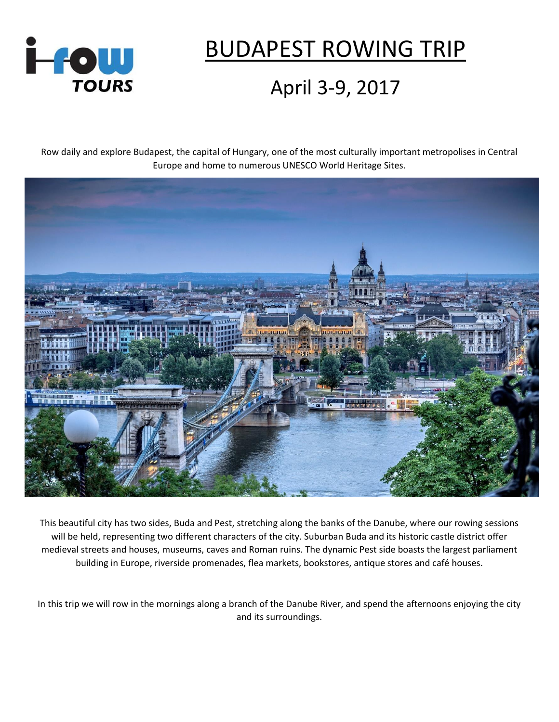

## BUDAPEST ROWING TRIP

## April 3-9, 2017

Row daily and explore Budapest, the capital of Hungary, one of the most culturally important metropolises in Central Europe and home to numerous UNESCO World Heritage Sites.



This beautiful city has two sides, Buda and Pest, stretching along the banks of the Danube, where our rowing sessions will be held, representing two different characters of the city. Suburban Buda and its historic castle district offer medieval streets and houses, museums, caves and Roman ruins. The dynamic Pest side boasts the largest parliament building in Europe, riverside promenades, flea markets, bookstores, antique stores and café houses.

In this trip we will row in the mornings along a branch of the Danube River, and spend the afternoons enjoying the city and its surroundings.